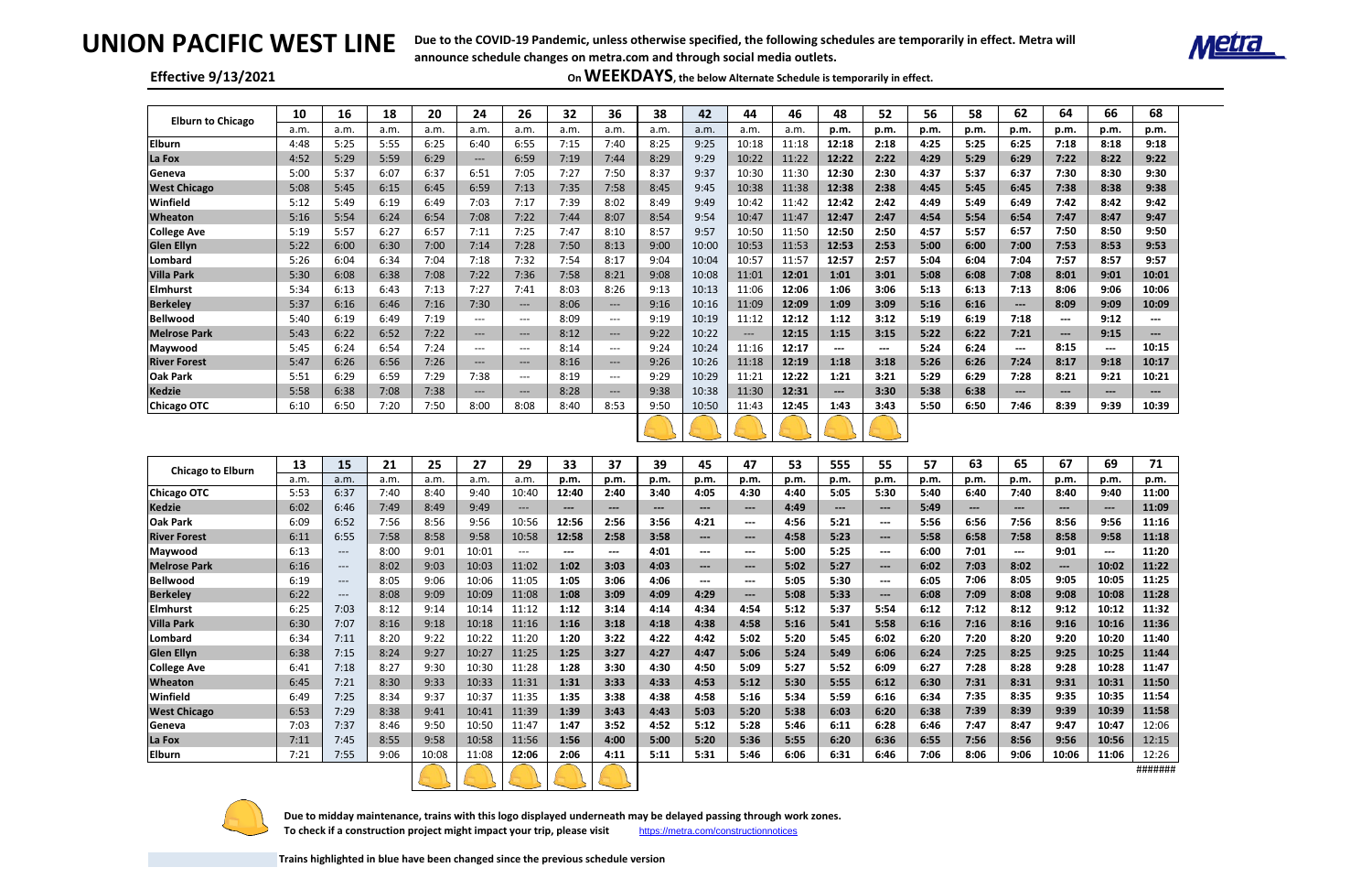# **UNION PACIFIC WEST LINE**

## **Effective 9/13/2021**

 **Due to midday maintenance, trains with this logo displayed underneath may be delayed passing through work zones.**  To check if a construction project might impact your trip, please visit <https://metra.com/constructionnotices>

| <b>Elburn to Chicago</b> | 10          | 16                                  | 18           | 20           | 24                                       | 26                                  | 32            | 36                                       | 38                      | 42                     | 44                                       | 46           | 48                  | 52                     | 56           | 58                     | 62                       | 64                     | 66                                       | 68                     |
|--------------------------|-------------|-------------------------------------|--------------|--------------|------------------------------------------|-------------------------------------|---------------|------------------------------------------|-------------------------|------------------------|------------------------------------------|--------------|---------------------|------------------------|--------------|------------------------|--------------------------|------------------------|------------------------------------------|------------------------|
|                          | a.m.        | a.m.                                | a.m.         | a.m.         | a.m.                                     | a.m.                                | a.m.          | a.m.                                     | a.m.                    | a.m.                   | a.m.                                     | a.m.         | p.m.                | p.m.                   | p.m.         | p.m.                   | p.m.                     | p.m.                   | p.m.                                     | p.m.                   |
| <b>Elburn</b>            | 4:48        | 5:25                                | 5:55         | 6:25         | 6:40                                     | 6:55                                | 7:15          | 7:40                                     | 8:25                    | 9:25                   | 10:18                                    | 11:18        | 12:18               | 2:18                   | 4:25         | 5:25                   | 6:25                     | 7:18                   | 8:18                                     | 9:18                   |
| La Fox                   | 4:52        | 5:29                                | 5:59         | 6:29         | $---$                                    | 6:59                                | 7:19          | 7:44                                     | 8:29                    | 9:29                   | 10:22                                    | 11:22        | 12:22               | 2:22                   | 4:29         | 5:29                   | 6:29                     | 7:22                   | 8:22                                     | 9:22                   |
| Geneva                   | 5:00        | 5:37                                | 6:07         | 6:37         | 6:51                                     | 7:05                                | 7:27          | 7:50                                     | 8:37                    | 9:37                   | 10:30                                    | 11:30        | 12:30               | 2:30                   | 4:37         | 5:37                   | 6:37                     | 7:30                   | 8:30                                     | 9:30                   |
| <b>West Chicago</b>      | 5:08        | 5:45                                | 6:15         | 6:45         | 6:59                                     | 7:13                                | 7:35          | 7:58                                     | 8:45                    | 9:45                   | 10:38                                    | 11:38        | 12:38               | 2:38                   | 4:45         | 5:45                   | 6:45                     | 7:38                   | 8:38                                     | 9:38                   |
| Winfield                 | 5:12        | 5:49                                | 6:19         | 6:49         | 7:03                                     | 7:17                                | 7:39          | 8:02                                     | 8:49                    | 9:49                   | 10:42                                    | 11:42        | 12:42               | 2:42                   | 4:49         | 5:49                   | 6:49                     | 7:42                   | 8:42                                     | 9:42                   |
| <b>Wheaton</b>           | 5:16        | 5:54                                | 6:24         | 6:54         | 7:08                                     | 7:22                                | 7:44          | 8:07                                     | 8:54                    | 9:54                   | 10:47                                    | 11:47        | 12:47               | 2:47                   | 4:54         | 5:54                   | 6:54                     | 7:47                   | 8:47                                     | 9:47                   |
| <b>College Ave</b>       | 5:19        | 5:57                                | 6:27         | 6:57         | 7:11                                     | 7:25                                | 7:47          | 8:10                                     | 8:57                    | 9:57                   | 10:50                                    | 11:50        | 12:50               | 2:50                   | 4:57         | 5:57                   | 6:57                     | 7:50                   | 8:50                                     | 9:50                   |
| <b>Glen Ellyn</b>        | 5:22        | 6:00                                | 6:30         | 7:00         | 7:14                                     | 7:28                                | 7:50          | 8:13                                     | 9:00                    | 10:00                  | 10:53                                    | 11:53        | 12:53               | 2:53                   | 5:00         | 6:00                   | 7:00                     | 7:53                   | 8:53                                     | 9:53                   |
| Lombard                  | 5:26        | 6:04                                | 6:34         | 7:04         | 7:18                                     | 7:32                                | 7:54          | 8:17                                     | 9:04                    | 10:04                  | 10:57                                    | 11:57        | 12:57               | 2:57                   | 5:04         | 6:04                   | 7:04                     | 7:57                   | 8:57                                     | 9:57                   |
| <b>Villa Park</b>        | 5:30        | 6:08                                | 6:38         | 7:08         | 7:22                                     | 7:36                                | 7:58          | 8:21                                     | 9:08                    | 10:08                  | 11:01                                    | 12:01        | 1:01                | 3:01                   | 5:08         | 6:08                   | 7:08                     | 8:01                   | 9:01                                     | 10:01                  |
| <b>Elmhurst</b>          | 5:34        | 6:13                                | 6:43         | 7:13         | 7:27                                     | 7:41                                | 8:03          | 8:26                                     | 9:13                    | 10:13                  | 11:06                                    | 12:06        | 1:06                | 3:06                   | 5:13         | 6:13                   | 7:13                     | 8:06                   | 9:06                                     | 10:06                  |
| <b>Berkeley</b>          | 5:37        | 6:16                                | 6:46         | 7:16         | 7:30                                     | $---$                               | 8:06          | $\hspace{0.05cm} \ldots \hspace{0.05cm}$ | 9:16                    | 10:16                  | 11:09                                    | 12:09        | 1:09                | 3:09                   | 5:16         | 6:16                   | $\qquad \qquad \cdots$   | 8:09                   | 9:09                                     | 10:09                  |
| <b>Bellwood</b>          | 5:40        | 6:19                                | 6:49         | 7:19         | $---$                                    | $---$                               | 8:09          | $--$                                     | 9:19                    | 10:19                  | 11:12                                    | 12:12        | 1:12                | 3:12                   | 5:19         | 6:19                   | 7:18                     | $\qquad \qquad \cdots$ | 9:12                                     | $\qquad \qquad \cdots$ |
| Melrose Park             | 5:43        | 6:22                                | 6:52         | 7:22         | $---$                                    | $\hspace{0.05cm}---\hspace{0.05cm}$ | 8:12          | $---$                                    | 9:22                    | 10:22                  | $\hspace{0.05cm}---$                     | 12:15        | 1:15                | 3:15                   | 5:22         | 6:22                   | 7:21                     | $\qquad \qquad \cdots$ | 9:15                                     | $\qquad \qquad \cdots$ |
| Maywood                  | 5:45        | 6:24                                | 6:54         | 7:24         | $---$                                    | $---$                               | 8:14          | $--$                                     | 9:24                    | 10:24                  | 11:16                                    | 12:17        | ---                 | $---$                  | 5:24         | 6:24                   | $\hspace{0.05cm} \ldots$ | 8:15                   | ---                                      | 10:15                  |
| <b>River Forest</b>      | 5:47        | 6:26                                | 6:56         | 7:26         | $\hspace{0.05cm} \ldots \hspace{0.05cm}$ | $---$                               | 8:16          | $--$                                     | 9:26                    | 10:26                  | 11:18                                    | 12:19        | 1:18                | 3:18                   | 5:26         | 6:26                   | 7:24                     | 8:17                   | 9:18                                     | 10:17                  |
| <b>Oak Park</b>          | 5:51        | 6:29                                | 6:59         | 7:29         | 7:38                                     | $\hspace{0.05cm}---\hspace{0.05cm}$ | 8:19          | $--$                                     | 9:29                    | 10:29                  | 11:21                                    | 12:22        | 1:21                | 3:21                   | 5:29         | 6:29                   | 7:28                     | 8:21                   | 9:21                                     | 10:21                  |
| <b>Kedzie</b>            | 5:58        | 6:38                                | 7:08         | 7:38         | $\qquad \qquad - -$                      | $---$                               | 8:28          | $--$                                     | 9:38                    | 10:38                  | 11:30                                    | 12:31        | $\qquad \qquad - -$ | 3:30                   | 5:38         | 6:38                   | $\hspace{0.05cm} \ldots$ | $\qquad \qquad \cdots$ | $---$                                    | $\qquad \qquad \cdots$ |
| <b>Chicago OTC</b>       | 6:10        | 6:50                                | 7:20         | 7:50         | 8:00                                     | 8:08                                | 8:40          | 8:53                                     | 9:50                    | 10:50                  | 11:43                                    | 12:45        | 1:43                | 3:43                   | 5:50         | 6:50                   | 7:46                     | 8:39                   | 9:39                                     | 10:39                  |
|                          |             |                                     |              |              |                                          |                                     |               |                                          |                         |                        |                                          |              |                     |                        |              |                        |                          |                        |                                          |                        |
| <b>Chicago to Elburn</b> | 13          | 15                                  | 21           | 25           | 27                                       | 29                                  | 33            | 37                                       | 39                      | 45                     | 47                                       | 53           | 555                 | 55                     | 57           | 63                     | 65                       | 67                     | 69                                       | 71                     |
| <b>Chicago OTC</b>       | a.m<br>5:53 | a.m.<br>6:37                        | a.m.<br>7:40 | a.m.<br>8:40 | a.m.<br>9:40                             | a.m.<br>10:40                       | p.m.<br>12:40 | p.m.<br>2:40                             | p.m.<br>3:40            | p.m.<br>4:05           | p.m.<br>4:30                             | p.m.<br>4:40 | p.m.<br>5:05        | p.m.<br>5:30           | p.m.<br>5:40 | p.m.<br>6:40           | p.m.<br>7:40             | p.m.<br>8:40           | p.m.<br>9:40                             | p.m.<br>11:00          |
| <b>Kedzie</b>            | 6:02        | 6:46                                | 7:49         | 8:49         | 9:49                                     | $\hspace{0.05cm}---\hspace{0.05cm}$ | $---$         | $---$                                    | $\qquad \qquad -\qquad$ | $\qquad \qquad \cdots$ | $---$                                    | 4:49         | $---$               | $\qquad \qquad \cdots$ | 5:49         | $\qquad \qquad \cdots$ | $---$                    | $---$                  | $\hspace{0.05cm} \ldots \hspace{0.05cm}$ | 11:09                  |
| <b>Oak Park</b>          | 6:09        | 6:52                                | 7:56         | 8:56         | 9:56                                     | 10:56                               | 12:56         | 2:56                                     | 3:56                    | 4:21                   | $\hspace{0.05cm} \ldots$                 | 4:56         | 5:21                | $\qquad \qquad \cdots$ | 5:56         | 6:56                   | 7:56                     | 8:56                   | 9:56                                     | 11:16                  |
| <b>River Forest</b>      | 6:11        | 6:55                                | 7:58         | 8:58         | 9:58                                     | 10:58                               | 12:58         | 2:58                                     | 3:58                    | $---$                  | $\hspace{0.05cm} \ldots \hspace{0.05cm}$ | 4:58         | 5:23                | $\qquad \qquad \cdots$ | 5:58         | 6:58                   | 7:58                     | 8:58                   | 9:58                                     | 11:18                  |
| Maywood                  | 6:13        | $\hspace{0.05cm}---\hspace{0.05cm}$ | 8:00         | 9:01         | 10:01                                    | $---$                               | $---$         | $\hspace{0.05cm} \ldots \hspace{0.05cm}$ | 4:01                    | $\qquad \qquad \cdots$ | $---$                                    | 5:00         | 5:25                | $\qquad \qquad \cdots$ | 6:00         | 7:01                   | $\qquad \qquad \cdots$   | 9:01                   | ---                                      | 11:20                  |
| <b>Melrose Park</b>      | 6:16        | $\hspace{0.05cm}---\hspace{0.05cm}$ | 8:02         | 9:03         | 10:03                                    | 11:02                               | 1:02          | 3:03                                     | 4:03                    | $\qquad \qquad \cdots$ | $\qquad \qquad \textbf{---}$             | 5:02         | 5:27                | $\qquad \qquad \cdots$ | 6:02         | 7:03                   | 8:02                     | $\qquad \qquad - -$    | 10:02                                    | 11:22                  |
| <b>Bellwood</b>          | 6:19        | $---$                               | 8:05         | 9:06         | 10:06                                    | 11:05                               | 1:05          | 3:06                                     | 4:06                    | ---                    | $---$                                    | 5:05         | 5:30                | ---                    | 6:05         | 7:06                   | 8:05                     | 9:05                   | 10:05                                    | 11:25                  |
| <b>Berkeley</b>          | 6:22        | $---$                               | 8:08         | 9:09         | 10:09                                    | 11:08                               | 1:08          | 3:09                                     | 4:09                    | 4:29                   | ---                                      | 5:08         | 5:33                | ---                    | 6:08         | 7:09                   | 8:08                     | 9:08                   | 10:08                                    | 11:28                  |
| <b>Elmhurst</b>          | 6:25        | 7:03                                | 8:12         | 9:14         | 10:14                                    | 11:12                               | 1:12          | 3:14                                     | 4:14                    | 4:34                   | 4:54                                     | 5:12         | 5:37                | 5:54                   | 6:12         | 7:12                   | 8:12                     | 9:12                   | 10:12                                    | 11:32                  |
| <b>Villa Park</b>        | 6:30        | 7:07                                | 8:16         | 9:18         | 10:18                                    | 11:16                               | 1:16          | 3:18                                     | 4:18                    | 4:38                   | 4:58                                     | 5:16         | 5:41                | 5:58                   | 6:16         | 7:16                   | 8:16                     | 9:16                   | 10:16                                    | 11:36                  |
| Lombard                  | 6:34        | 7:11                                | 8:20         | 9:22         | 10:22                                    | 11:20                               | 1:20          | 3:22                                     | 4:22                    | 4:42                   | 5:02                                     | 5:20         | 5:45                | 6:02                   | 6:20         | 7:20                   | 8:20                     | 9:20                   | 10:20                                    | 11:40                  |
| <b>Glen Ellyn</b>        | 6:38        | 7:15                                | 8:24         | 9:27         | 10:27                                    | 11:25                               | 1:25          | 3:27                                     | 4:27                    | 4:47                   | 5:06                                     | 5:24         | 5:49                | 6:06                   | 6:24         | 7:25                   | 8:25                     | 9:25                   | 10:25                                    | 11:44                  |
| <b>College Ave</b>       | 6:41        | 7:18                                | 8:27         | 9:30         | 10:30                                    | 11:28                               | 1:28          | 3:30                                     | 4:30                    | 4:50                   | 5:09                                     | 5:27         | 5:52                | 6:09                   | 6:27         | 7:28                   | 8:28                     | 9:28                   | 10:28                                    | 11:47                  |
| Wheaton                  | 6:45        | 7:21                                | 8:30         | 9:33         | 10:33                                    | 11:31                               | 1:31          | 3:33                                     | 4:33                    | 4:53                   | 5:12                                     | 5:30         | 5:55                | 6:12                   | 6:30         | 7:31                   | 8:31                     | 9:31                   | 10:31                                    | 11:50                  |
| Winfield                 | 6:49        | 7:25                                | 8:34         | 9:37         | 10:37                                    | 11:35                               | 1:35          | 3:38                                     | 4:38                    | 4:58                   | 5:16                                     | 5:34         | 5:59                | 6:16                   | 6:34         | 7:35                   | 8:35                     | 9:35                   | 10:35                                    | 11:54                  |
| <b>West Chicago</b>      | 6:53        | 7:29                                | 8:38         | 9:41         | 10:41                                    | 11:39                               | 1:39          | 3:43                                     | 4:43                    | 5:03                   | 5:20                                     | 5:38         | 6:03                | 6:20                   | 6:38         | 7:39                   | 8:39                     | 9:39                   | 10:39                                    | 11:58                  |
| Geneva                   | 7:03        | 7:37                                | 8:46         | 9:50         | 10:50                                    | 11:47                               | 1:47          | 3:52                                     | 4:52                    | 5:12                   | 5:28                                     | 5:46         | 6:11                | 6:28                   | 6:46         | 7:47                   | 8:47                     | 9:47                   | 10:47                                    | 12:06                  |
| La Fox                   | 7:11        | 7:45                                | 8:55         | 9:58         | 10:58                                    | 11:56                               | 1:56          | 4:00                                     | 5:00                    | 5:20                   | 5:36                                     | 5:55         | 6:20                | 6:36                   | 6:55         | 7:56                   | 8:56                     | 9:56                   | 10:56                                    | 12:15                  |
|                          |             |                                     |              |              |                                          |                                     |               |                                          |                         |                        |                                          |              |                     |                        |              |                        |                          |                        |                                          |                        |
| <b>Elburn</b>            | 7:21        | 7:55                                | 9:06         | 10:08        | 11:08                                    | 12:06                               | 2:06          | 4:11                                     | 5:11                    | 5:31                   | 5:46                                     | 6:06         | 6:31                | 6:46                   | 7:06         | 8:06                   | 9:06                     | 10:06                  | 11:06                                    | 12:26                  |



#######



**Due to the COVID-19 Pandemic, unless otherwise specified, the following schedules are temporarily in effect. Metra will announce schedule changes on metra.com and through social media outlets.**

**On WEEKDAYS, the below Alternate Schedule is temporarily in effect.**